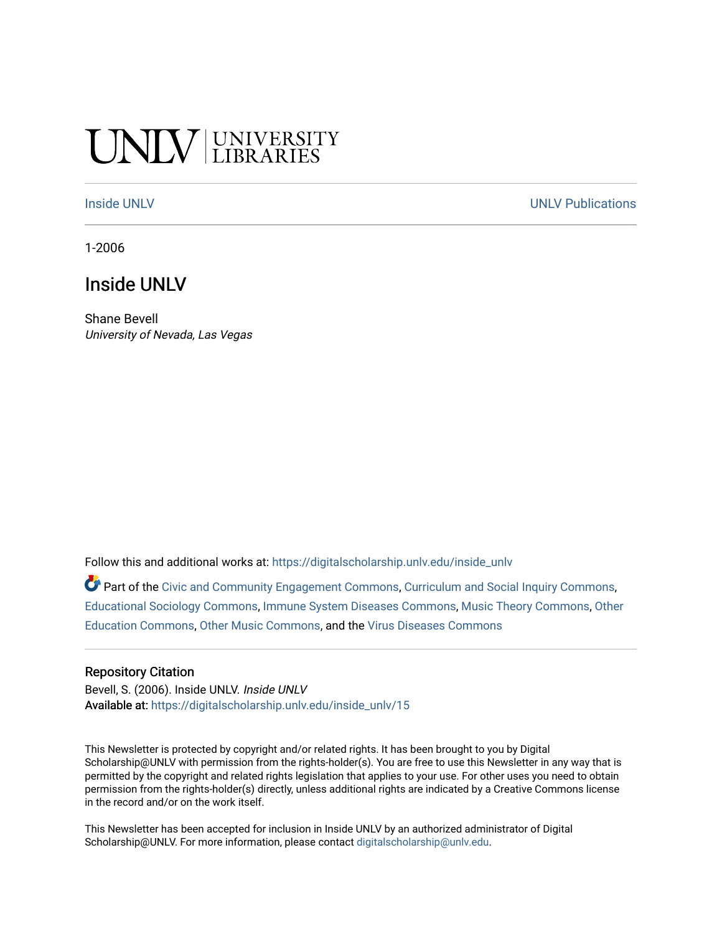# **CINITY UNIVERSITY**

[Inside UNLV](https://digitalscholarship.unlv.edu/inside_unlv) Number of the [UNLV Publications](https://digitalscholarship.unlv.edu/unlv_publications) of the UNLV Publications of the UNLV Publications

1-2006

# Inside UNLV

Shane Bevell University of Nevada, Las Vegas

Follow this and additional works at: [https://digitalscholarship.unlv.edu/inside\\_unlv](https://digitalscholarship.unlv.edu/inside_unlv?utm_source=digitalscholarship.unlv.edu%2Finside_unlv%2F15&utm_medium=PDF&utm_campaign=PDFCoverPages) 

Part of the [Civic and Community Engagement Commons](http://network.bepress.com/hgg/discipline/1028?utm_source=digitalscholarship.unlv.edu%2Finside_unlv%2F15&utm_medium=PDF&utm_campaign=PDFCoverPages), [Curriculum and Social Inquiry Commons](http://network.bepress.com/hgg/discipline/1038?utm_source=digitalscholarship.unlv.edu%2Finside_unlv%2F15&utm_medium=PDF&utm_campaign=PDFCoverPages), [Educational Sociology Commons,](http://network.bepress.com/hgg/discipline/1071?utm_source=digitalscholarship.unlv.edu%2Finside_unlv%2F15&utm_medium=PDF&utm_campaign=PDFCoverPages) [Immune System Diseases Commons,](http://network.bepress.com/hgg/discipline/933?utm_source=digitalscholarship.unlv.edu%2Finside_unlv%2F15&utm_medium=PDF&utm_campaign=PDFCoverPages) [Music Theory Commons](http://network.bepress.com/hgg/discipline/522?utm_source=digitalscholarship.unlv.edu%2Finside_unlv%2F15&utm_medium=PDF&utm_campaign=PDFCoverPages), [Other](http://network.bepress.com/hgg/discipline/811?utm_source=digitalscholarship.unlv.edu%2Finside_unlv%2F15&utm_medium=PDF&utm_campaign=PDFCoverPages)  [Education Commons,](http://network.bepress.com/hgg/discipline/811?utm_source=digitalscholarship.unlv.edu%2Finside_unlv%2F15&utm_medium=PDF&utm_campaign=PDFCoverPages) [Other Music Commons,](http://network.bepress.com/hgg/discipline/524?utm_source=digitalscholarship.unlv.edu%2Finside_unlv%2F15&utm_medium=PDF&utm_campaign=PDFCoverPages) and the [Virus Diseases Commons](http://network.bepress.com/hgg/discipline/998?utm_source=digitalscholarship.unlv.edu%2Finside_unlv%2F15&utm_medium=PDF&utm_campaign=PDFCoverPages)

#### Repository Citation

Bevell, S. (2006). Inside UNLV. Inside UNLV Available at: [https://digitalscholarship.unlv.edu/inside\\_unlv/15](https://digitalscholarship.unlv.edu/inside_unlv/15) 

This Newsletter is protected by copyright and/or related rights. It has been brought to you by Digital Scholarship@UNLV with permission from the rights-holder(s). You are free to use this Newsletter in any way that is permitted by the copyright and related rights legislation that applies to your use. For other uses you need to obtain permission from the rights-holder(s) directly, unless additional rights are indicated by a Creative Commons license in the record and/or on the work itself.

This Newsletter has been accepted for inclusion in Inside UNLV by an authorized administrator of Digital Scholarship@UNLV. For more information, please contact [digitalscholarship@unlv.edu.](mailto:digitalscholarship@unlv.edu)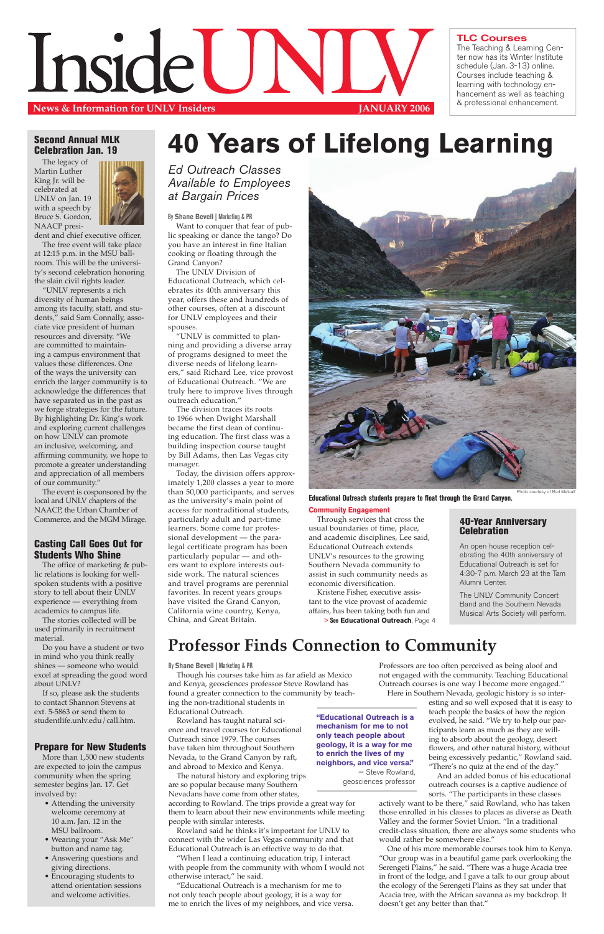# Second Annual MLK Celebration Jan. 19

The legacy of Martin Luther King Jr. will be celebrated at UNLV on Jan. 19 with a speech by Bruce S. Gordon, NAACP presi-



dent and chief executive officer. The free event will take place at 12:15 p.m. in the MSU ballroom. This will be the university's second celebration honoring the slain civil rights leader.

"UNLV represents a rich diversity of human beings among its faculty, staff, and students," said Sam Connally, associate vice president of human resources and diversity. "We are committed to maintaining a campus environment that values these differences. One of the ways the university can enrich the larger community is to acknowledge the differences that have separated us in the past as we forge strategies for the future. By highlighting Dr. King's work and exploring current challenges on how UNLV can promote an inclusive, welcoming, and affirming community, we hope to promote a greater understanding and appreciation of all members of our community."

The event is cosponsored by the local and UNLV chapters of the NAACP, the Urban Chamber of Commerce, and the MGM Mirage.

# Casting Call Goes Out for Students Who Shine

The office of marketing & public relations is looking for wellspoken students with a positive story to tell about their UNLV experience — everything from academics to campus life.

The stories collected will be used primarily in recruitment material.

Do you have a student or two in mind who you think really shines — someone who would excel at spreading the good word about UNLV?

If so, please ask the students to contact Shannon Stevens at ext. 5-5863 or send them to studentlife.unlv.edu/call.htm.

# Prepare for New Students

More than 1,500 new students are expected to join the campus community when the spring semester begins Jan. 17. Get involved by:

- Attending the university welcome ceremony at 10 a.m. Jan. 12 in the MSU ballroom.
- Wearing your "Ask Me" button and name tag.
- Answering questions and giving directions.
- Encouraging students to attend orientation sessions and welcome activities.

**By Shane Bevell | Marketing & PR**

Want to conquer that fear of public speaking or dance the tango? Do you have an interest in fine Italian cooking or floating through the Grand Canyon?

The UNLV Division of Educational Outreach, which celebrates its 40th anniversary this year, offers these and hundreds of other courses, often at a discount for UNLV employees and their spouses.

"UNLV is committed to planning and providing a diverse array of programs designed to meet the diverse needs of lifelong learners," said Richard Lee, vice provost of Educational Outreach. "We are truly here to improve lives through outreach education."

The division traces its roots to 1966 when Dwight Marshall became the first dean of continuing education. The first class was a building inspection course taught by Bill Adams, then Las Vegas city manager.

Today, the division offers approximately 1,200 classes a year to more than 50,000 participants, and serves as the university's main point of access for nontraditional students, particularly adult and part-time learners. Some come for professional development — the paralegal certificate program has been particularly popular — and others want to explore interests outside work. The natural sciences and travel programs are perennial favorites. In recent years groups have visited the Grand Canyon, California wine country, Kenya, China, and Great Britain.

#### **Community Engagement**

Through services that cross the usual boundaries of time, place, and academic disciplines, Lee said, Educational Outreach extends UNLV's resources to the growing Southern Nevada community to assist in such community needs as economic diversification.



### TLC Courses

The Teaching & Learning Center now has its Winter Institute schedule (Jan. 3-13) online. Courses include teaching & learning with technology enhancement as well as teaching & professional enhancement.

Kristene Fisher, executive assistant to the vice provost of academic affairs, has been taking both fun and **> See Educational Outreach**, Page 4

# **40 Years of Lifelong Learning**

Ed Outreach Classes Available to Employees at Bargain Prices

**Educational Outreach students prepare to float through the Grand Canyon.** 

# **Professor Finds Connection to Community**

# 40-Year Anniversary Celebration

An open house reception celebrating the 40th anniversary of Educational Outreach is set for 4:30-7 p.m. March 23 at the Tam Alumni Center.

The UNLV Community Concert Band and the Southern Nevada Musical Arts Society will perform.

#### **By Shane Bevell | Marketing & PR**

Though his courses take him as far afield as Mexico and Kenya, geosciences professor Steve Rowland has

found a greater connection to the community by teaching the non-traditional students in Educational Outreach.

Rowland has taught natural science and travel courses for Educational Outreach since 1979. The courses have taken him throughout Southern Nevada, to the Grand Canyon by raft, and abroad to Mexico and Kenya.

The natural history and exploring trips are so popular because many Southern Nevadans have come from other states,

according to Rowland. The trips provide a great way for them to learn about their new environments while meeting people with similar interests.

Rowland said he thinks it's important for UNLV to connect with the wider Las Vegas community and that Educational Outreach is an effective way to do that.

"When I lead a continuing education trip, I interact with people from the community with whom I would not otherwise interact," he said.

"Educational Outreach is a mechanism for me to not only teach people about geology, it is a way for me to enrich the lives of my neighbors, and vice versa.

Professors are too often perceived as being aloof and not engaged with the community. Teaching Educational Outreach courses is one way I become more engaged." Here in Southern Nevada, geologic history is so interesting and so well exposed that it is easy to teach people the basics of how the region evolved, he said. "We try to help our participants learn as much as they are willing to absorb about the geology, desert flowers, and other natural history, without being excessively pedantic," Rowland said. "There's no quiz at the end of the day." And an added bonus of his educational outreach courses is a captive audience of sorts. "The participants in these classes actively want to be there," said Rowland, who has taken those enrolled in his classes to places as diverse as Death Valley and the former Soviet Union. "In a traditional credit-class situation, there are always some students who would rather be somewhere else." One of his more memorable courses took him to Kenya. "Our group was in a beautiful game park overlooking the Serengeti Plains," he said. "There was a huge Acacia tree in front of the lodge, and I gave a talk to our group about the ecology of the Serengeti Plains as they sat under that Acacia tree, with the African savanna as my backdrop. It doesn't get any better than that."

**"Educational Outreach is a mechanism for me to not only teach people about geology, it is a way for me to enrich the lives of my neighbors, and vice versa."**

— Steve Rowland, geosciences professor

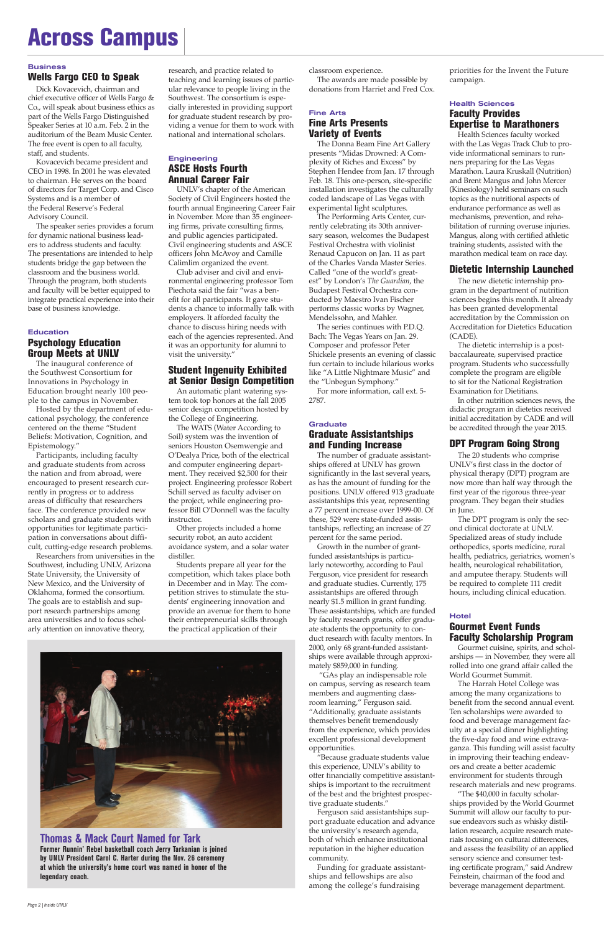# Wells Fargo CEO to Speak

Dick Kovacevich, chairman and chief executive officer of Wells Fargo & Co., will speak about business ethics as part of the Wells Fargo Distinguished Speaker Series at 10 a.m. Feb. 2 in the auditorium of the Beam Music Center. The free event is open to all faculty, staff, and students.

Kovacevich became president and CEO in 1998. In 2001 he was elevated to chairman. He serves on the board of directors for Target Corp. and Cisco Systems and is a member of the Federal Reserve's Federal Advisory Council.

# **Education** Psychology Education Group Meets at UNLV

The speaker series provides a forum for dynamic national business leaders to address students and faculty. The presentations are intended to help students bridge the gap between the classroom and the business world. Through the program, both students and faculty will be better equipped to integrate practical experience into their base of business knowledge.

The inaugural conference of the Southwest Consortium for Innovations in Psychology in Education brought nearly 100 people to the campus in November.

# **Engineering** ASCE Hosts Fourth Annual Career Fair

Hosted by the department of educational psychology, the conference centered on the theme "Student Beliefs: Motivation, Cognition, and Epistemology."

Participants, including faculty and graduate students from across the nation and from abroad, were encouraged to present research currently in progress or to address areas of difficulty that researchers face. The conference provided new scholars and graduate students with opportunities for legitimate participation in conversations about difficult, cutting-edge research problems.

Researchers from universities in the Southwest, including UNLV, Arizona State University, the University of New Mexico, and the University of Oklahoma, formed the consortium. The goals are to establish and support research partnerships among area universities and to focus scholarly attention on innovative theory,

research, and practice related to teaching and learning issues of particular relevance to people living in the Southwest. The consortium is especially interested in providing support for graduate student research by providing a venue for them to work with national and international scholars.

UNLV's chapter of the American Society of Civil Engineers hosted the fourth annual Engineering Career Fair in November. More than 35 engineering firms, private consulting firms, and public agencies participated. Civil engineering students and ASCE officers John McAvoy and Camille Calimlim organized the event.

## **Graduate** Graduate Assistantships and Funding Increase

Club adviser and civil and environmental engineering professor Tom Piechota said the fair "was a benefit for all participants. It gave students a chance to informally talk with employers. It afforded faculty the chance to discuss hiring needs with each of the agencies represented. And it was an opportunity for alumni to visit the university."

# Student Ingenuity Exhibited at Senior Design Competition

An automatic plant watering system took top honors at the fall 2005 senior design competition hosted by the College of Engineering.

The WATS (Water According to Soil) system was the invention of seniors Houston Osemwengie and O'Dealya Price, both of the electrical and computer engineering department. They received \$2,500 for their project. Engineering professor Robert Schill served as faculty adviser on the project, while engineering professor Bill O'Donnell was the faculty instructor.

Other projects included a home security robot, an auto accident avoidance system, and a solar water distiller.

Students prepare all year for the competition, which takes place both in December and in May. The competition strives to stimulate the students' engineering innovation and provide an avenue for them to hone their entrepreneurial skills through the practical application of their



classroom experience.

The awards are made possible by donations from Harriet and Fred Cox.

# Fine Arts Fine Arts Presents Variety of Events

The Donna Beam Fine Art Gallery presents "Midas Drowned: A Complexity of Riches and Excess" by Stephen Hendee from Jan. 17 through Feb. 18. This one-person, site-specific installation investigates the culturally coded landscape of Las Vegas with experimental light sculptures.

The Performing Arts Center, currently celebrating its 30th anniversary season, welcomes the Budapest Festival Orchestra with violinist Renaud Capucon on Jan. 11 as part of the Charles Vanda Master Series. Called "one of the world's greatest" by London's *The Guardian*, the Budapest Festival Orchestra conducted by Maestro Ivan Fischer performs classic works by Wagner, Mendelssohn, and Mahler.

The series continues with P.D.Q. Bach: The Vegas Years on Jan. 29. Composer and professor Peter Shickele presents an evening of classic fun certain to include hilarious works like "A Little Nightmare Music" and the "Unbegun Symphony."

For more information, call ext. 5- 2787.

The number of graduate assistantships offered at UNLV has grown significantly in the last several years, as has the amount of funding for the positions. UNLV offered 913 graduate assistantships this year, representing a 77 percent increase over 1999-00. Of these, 529 were state-funded assistantships, reflecting an increase of 27 percent for the same period.

Growth in the number of grantfunded assistantships is particularly noteworthy, according to Paul Ferguson, vice president for research and graduate studies. Currently, 175 assistantships are offered through nearly \$1.5 million in grant funding. These assistantships, which are funded by faculty research grants, offer graduate students the opportunity to conduct research with faculty mentors. In 2000, only 68 grant-funded assistantships were available through approximately \$859,000 in funding.

 "GAs play an indispensable role on campus, serving as research team

members and augmenting classroom learning," Ferguson said. "Additionally, graduate assistants themselves benefit tremendously from the experience, which provides excellent professional development opportunities.

"Because graduate students value this experience, UNLV's ability to offer financially competitive assistantships is important to the recruitment of the best and the brightest prospective graduate students."

Ferguson said assistantships support graduate education and advance the university's research agenda, both of which enhance institutional reputation in the higher education community.

Funding for graduate assistantships and fellowships are also among the college's fundraising

priorities for the Invent the Future campaign.

# Health Sciences Faculty Provides Expertise to Marathoners

Health Sciences faculty worked with the Las Vegas Track Club to provide informational seminars to runners preparing for the Las Vegas Marathon. Laura Kruskall (Nutrition) and Brent Mangus and John Mercer (Kinesiology) held seminars on such topics as the nutritional aspects of endurance performance as well as mechanisms, prevention, and rehabilitation of running overuse injuries. Mangus, along with certified athletic training students, assisted with the marathon medical team on race day.

# Dietetic Internship Launched

The new dietetic internship program in the department of nutrition sciences begins this month. It already has been granted developmental accreditation by the Commission on Accreditation for Dietetics Education (CADE).

The dietetic internship is a postbaccalaureate, supervised practice program. Students who successfully complete the program are eligible to sit for the National Registration Examination for Dietitians.

In other nutrition sciences news, the didactic program in dietetics received initial accreditation by CADE and will be accredited through the year 2015.

# DPT Program Going Strong

The 20 students who comprise UNLV's first class in the doctor of physical therapy (DPT) program are now more than half way through the first year of the rigorous three-year program. They began their studies in June.

The DPT program is only the second clinical doctorate at UNLV. Specialized areas of study include orthopedics, sports medicine, rural health, pediatrics, geriatrics, women's health, neurological rehabilitation, and amputee therapy. Students will be required to complete 111 credit hours, including clinical education.

# **Hotel**

# Gourmet Event Funds Faculty Scholarship Program

Gourmet cuisine, spirits, and scholarships — in November, they were all rolled into one grand affair called the World Gourmet Summit.

The Harrah Hotel College was among the many organizations to benefit from the second annual event. Ten scholarships were awarded to food and beverage management faculty at a special dinner highlighting the five-day food and wine extravaganza. This funding will assist faculty in improving their teaching endeavors and create a better academic environment for students through research materials and new programs. "The \$40,000 in faculty scholarships provided by the World Gourmet Summit will allow our faculty to pursue endeavors such as whisky distillation research, acquire research materials focusing on cultural differences, and assess the feasibility of an applied sensory science and consumer testing certificate program," said Andrew Feinstein, chairman of the food and beverage management department.

# Across Campus

#### **Business**

# **Thomas & Mack Court Named for Tark**

**Former Runnin' Rebel basketball coach Jerry Tarkanian is joined by UNLV President Carol C. Harter during the Nov. 26 ceremony at which the university's home court was named in honor of the legendary coach.**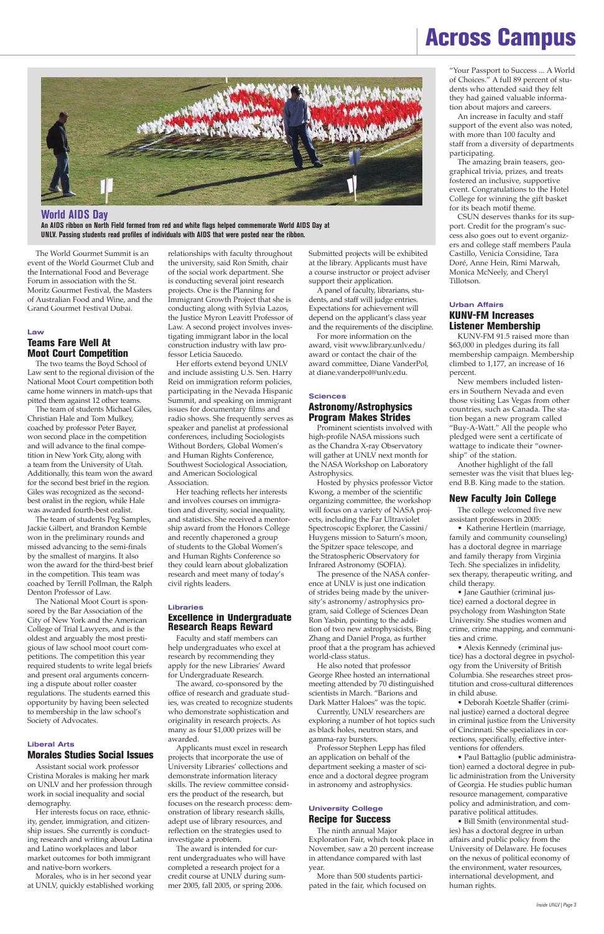The World Gourmet Summit is an event of the World Gourmet Club and the International Food and Beverage Forum in association with the St. Moritz Gourmet Festival, the Masters of Australian Food and Wine, and the Grand Gourmet Festival Dubai.

# Law

# Teams Fare Well At Moot Court Competition

The two teams the Boyd School of Law sent to the regional division of the National Moot Court competition both came home winners in match-ups that pitted them against 12 other teams.

The team of students Michael Giles, Christian Hale and Tom Mulkey, coached by professor Peter Bayer, won second place in the competition and will advance to the final competition in New York City, along with a team from the University of Utah. Additionally, this team won the award for the second best brief in the region. Giles was recognized as the secondbest oralist in the region, while Hale was awarded fourth-best oralist.

The team of students Peg Samples, Jackie Gilbert, and Brandon Kemble won in the preliminary rounds and missed advancing to the semi-finals by the smallest of margins. It also won the award for the third-best brief in the competition. This team was coached by Terrill Pollman, the Ralph Denton Professor of Law.

The National Moot Court is sponsored by the Bar Association of the City of New York and the American College of Trial Lawyers, and is the oldest and arguably the most prestigious of law school moot court competitions. The competition this year required students to write legal briefs and present oral arguments concerning a dispute about roller coaster regulations. The students earned this opportunity by having been selected to membership in the law school's Society of Advocates.

# Liberal Arts Morales Studies Social Issues

Assistant social work professor Cristina Morales is making her mark on UNLV and her profession through work in social inequality and social demography.

Her interests focus on race, ethnicity, gender, immigration, and citizenship issues. She currently is conducting research and writing about Latina and Latino workplaces and labor market outcomes for both immigrant and native-born workers.

Morales, who is in her second year at UNLV, quickly established working relationships with faculty throughout the university, said Ron Smith, chair of the social work department. She is conducting several joint research projects. One is the Planning for Immigrant Growth Project that she is conducting along with Sylvia Lazos, the Justice Myron Leavitt Professor of Law. A second project involves investigating immigrant labor in the local construction industry with law professor Leticia Saucedo.

Her efforts extend beyond UNLV and include assisting U.S. Sen. Harry Reid on immigration reform policies, participating in the Nevada Hispanic Summit, and speaking on immigrant issues for documentary films and radio shows. She frequently serves as speaker and panelist at professional conferences, including Sociologists Without Borders, Global Women's and Human Rights Conference, Southwest Sociological Association, and American Sociological Association.

Her teaching reflects her interests and involves courses on immigration and diversity, social inequality, and statistics. She received a mentorship award from the Honors College and recently chaperoned a group of students to the Global Women's and Human Rights Conference so they could learn about globalization research and meet many of today's civil rights leaders.

#### Libraries

### Excellence in Undergraduate Research Reaps Reward

Faculty and staff members can help undergraduates who excel at research by recommending they apply for the new Libraries' Award for Undergraduate Research.

The award, co-sponsored by the office of research and graduate studies, was created to recognize students who demonstrate sophistication and originality in research projects. As many as four \$1,000 prizes will be awarded. Applicants must excel in research projects that incorporate the use of University Libraries' collections and demonstrate information literacy skills. The review committee considers the product of the research, but focuses on the research process: demonstration of library research skills, adept use of library resources, and reflection on the strategies used to investigate a problem. The award is intended for current undergraduates who will have completed a research project for a credit course at UNLV during summer 2005, fall 2005, or spring 2006.

Submitted projects will be exhibited at the library. Applicants must have a course instructor or project adviser support their application.

A panel of faculty, librarians, students, and staff will judge entries. Expectations for achievement will depend on the applicant's class year and the requirements of the discipline.

For more information on the award, visit www.library.unlv.edu/ award or contact the chair of the award committee, Diane VanderPol, at diane.vanderpol@unlv.edu.

#### **Sciences**

# Astronomy/Astrophysics Program Makes Strides

Prominent scientists involved with high-profile NASA missions such as the Chandra X-ray Observatory will gather at UNLV next month for the NASA Workshop on Laboratory Astrophysics.

Hosted by physics professor Victor Kwong, a member of the scientific organizing committee, the workshop will focus on a variety of NASA projects, including the Far Ultraviolet Spectroscopic Explorer, the Cassini/ Huygens mission to Saturn's moon, the Spitzer space telescope, and the Stratospheric Observatory for Infrared Astronomy (SOFIA).

The presence of the NASA conference at UNLV is just one indication of strides being made by the university's astronomy/astrophysics program, said College of Sciences Dean Ron Yasbin, pointing to the addition of two new astrophysicists, Bing Zhang and Daniel Proga, as further proof that a the program has achieved world-class status.

He also noted that professor George Rhee hosted an international meeting attended by 70 distinguished scientists in March. "Barions and Dark Matter Haloes" was the topic. Currently, UNLV researchers are exploring a number of hot topics such as black holes, neutron stars, and gamma-ray bursters. Professor Stephen Lepp has filed an application on behalf of the department seeking a master of science and a doctoral degree program in astronomy and astrophysics.

### University College Recipe for Success

The ninth annual Major Exploration Fair, which took place in November, saw a 20 percent increase in attendance compared with last year.

More than 500 students participated in the fair, which focused on "Your Passport to Success ... A World of Choices." A full 89 percent of students who attended said they felt they had gained valuable information about majors and careers.

An increase in faculty and staff support of the event also was noted, with more than 100 faculty and staff from a diversity of departments participating.

The amazing brain teasers, geographical trivia, prizes, and treats fostered an inclusive, supportive event. Congratulations to the Hotel College for winning the gift basket for its beach motif theme.

CSUN deserves thanks for its support. Credit for the program's success also goes out to event organizers and college staff members Paula Castillo, Venicia Considine, Tara Doré, Anne Hein, Rimi Marwah, Monica McNeely, and Cheryl Tillotson.

### Urban Affairs KUNV-FM Increases Listener Membership

KUNV-FM 91.5 raised more than \$63,000 in pledges during its fall membership campaign. Membership climbed to 1,177, an increase of 16 percent.

New members included listeners in Southern Nevada and even those visiting Las Vegas from other countries, such as Canada. The station began a new program called "Buy-A-Watt." All the people who pledged were sent a certificate of wattage to indicate their "ownership" of the station.

Another highlight of the fall semester was the visit that blues legend B.B. King made to the station.

#### New Faculty Join College

The college welcomed five new assistant professors in 2005:

• Katherine Hertlein (marriage, family and community counseling) has a doctoral degree in marriage and family therapy from Virginia Tech. She specializes in infidelity, sex therapy, therapeutic writing, and child therapy.

• Jane Gauthier (criminal justice) earned a doctoral degree in psychology from Washington State University. She studies women and crime, crime mapping, and communities and crime.

• Alexis Kennedy (criminal justice) has a doctoral degree in psychology from the University of British Columbia. She researches street prostitution and cross-cultural differences

in child abuse.

• Deborah Koetzle Shaffer (criminal justice) earned a doctoral degree in criminal justice from the University of Cincinnati. She specializes in corrections, specifically, effective interventions for offenders.

• Paul Battaglio (public administration) earned a doctoral degree in public administration from the University of Georgia. He studies public human resource management, comparative policy and administration, and comparative political attitudes.

• Bill Smith (environmental studies) has a doctoral degree in urban affairs and public policy from the University of Delaware. He focuses on the nexus of political economy of the environment, water resources, international development, and human rights.



**World AIDS Day An AIDS ribbon on North Field formed from red and white flags helped commemorate World AIDS Day at UNLV. Passing students read profiles of individuals with AIDS that were posted near the ribbon.**

# Across Campus